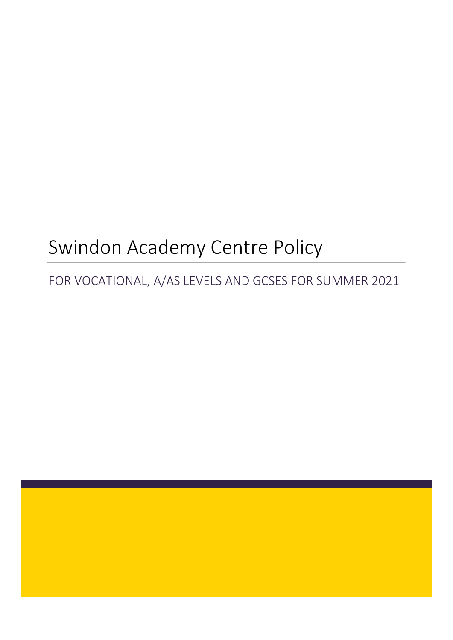# Swindon Academy Centre Policy

# FOR VOCATIONAL, A/AS LEVELS AND GCSES FOR SUMMER 2021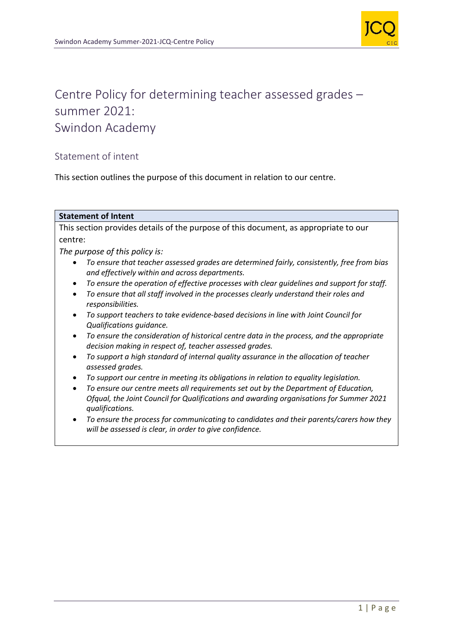

# Centre Policy for determining teacher assessed grades – summer 2021: Swindon Academy

# Statement of intent

This section outlines the purpose of this document in relation to our centre.

#### **Statement of Intent**

This section provides details of the purpose of this document, as appropriate to our centre:

*The purpose of this policy is:*

- *To ensure that teacher assessed grades are determined fairly, consistently, free from bias and effectively within and across departments.*
- *To ensure the operation of effective processes with clear guidelines and support for staff.*
- *To ensure that all staff involved in the processes clearly understand their roles and responsibilities.*
- *To support teachers to take evidence-based decisions in line with Joint Council for Qualifications guidance.*
- *To ensure the consideration of historical centre data in the process, and the appropriate decision making in respect of, teacher assessed grades.*
- *To support a high standard of internal quality assurance in the allocation of teacher assessed grades.*
- *To support our centre in meeting its obligations in relation to equality legislation.*
- *To ensure our centre meets all requirements set out by the Department of Education, Ofqual, the Joint Council for Qualifications and awarding organisations for Summer 2021 qualifications.*
- *To ensure the process for communicating to candidates and their parents/carers how they will be assessed is clear, in order to give confidence.*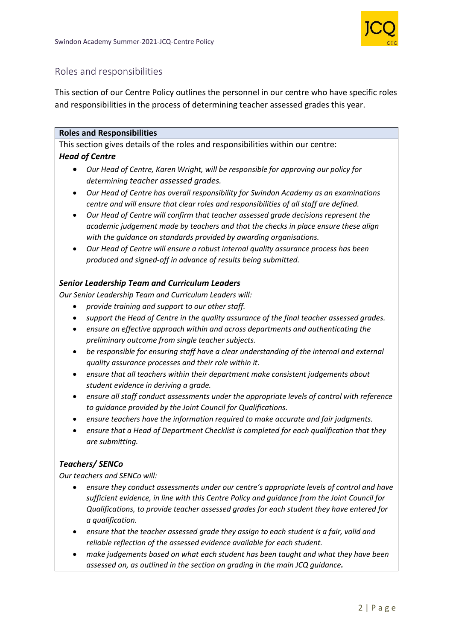

# Roles and responsibilities

This section of our Centre Policy outlines the personnel in our centre who have specific roles and responsibilities in the process of determining teacher assessed grades this year.

#### **Roles and Responsibilities**

This section gives details of the roles and responsibilities within our centre: *Head of Centre*

- *Our Head of Centre, Karen Wright, will be responsible for approving our policy for determining teacher assessed grades.*
- *Our Head of Centre has overall responsibility for Swindon Academy as an examinations centre and will ensure that clear roles and responsibilities of all staff are defined.*
- *Our Head of Centre will confirm that teacher assessed grade decisions represent the academic judgement made by teachers and that the checks in place ensure these align with the guidance on standards provided by awarding organisations.*
- *Our Head of Centre will ensure a robust internal quality assurance process has been produced and signed-off in advance of results being submitted.*

#### *Senior Leadership Team and Curriculum Leaders*

*Our Senior Leadership Team and Curriculum Leaders will:*

- *provide training and support to our other staff.*
- *support the Head of Centre in the quality assurance of the final teacher assessed grades.*
- *ensure an effective approach within and across departments and authenticating the preliminary outcome from single teacher subjects.*
- *be responsible for ensuring staff have a clear understanding of the internal and external quality assurance processes and their role within it.*
- *ensure that all teachers within their department make consistent judgements about student evidence in deriving a grade.*
- *ensure all staff conduct assessments under the appropriate levels of control with reference to guidance provided by the Joint Council for Qualifications.*
- *ensure teachers have the information required to make accurate and fair judgments.*
- *ensure that a Head of Department Checklist is completed for each qualification that they are submitting.*

# *Teachers/ SENCo*

*Our teachers and SENCo will:*

- *ensure they conduct assessments under our centre's appropriate levels of control and have sufficient evidence, in line with this Centre Policy and guidance from the Joint Council for Qualifications, to provide teacher assessed grades for each student they have entered for a qualification.*
- *ensure that the teacher assessed grade they assign to each student is a fair, valid and reliable reflection of the assessed evidence available for each student.*
- *make judgements based on what each student has been taught and what they have been assessed on, as outlined in the section on grading in the main JCQ guidance.*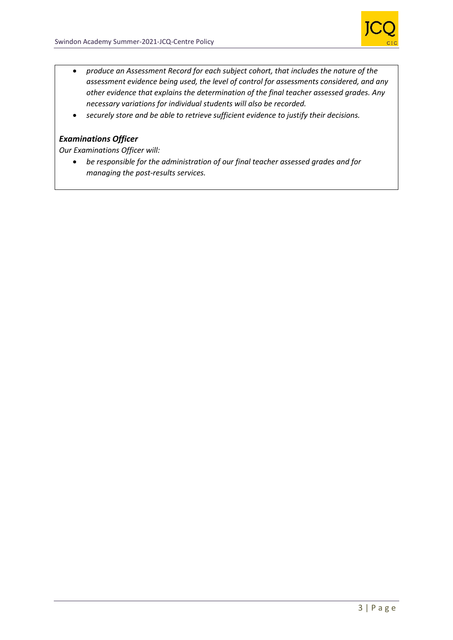

- *produce an Assessment Record for each subject cohort, that includes the nature of the assessment evidence being used, the level of control for assessments considered, and any other evidence that explains the determination of the final teacher assessed grades. Any necessary variations for individual students will also be recorded.*
- *securely store and be able to retrieve sufficient evidence to justify their decisions.*

#### *Examinations Officer*

*Our Examinations Officer will:*

• *be responsible for the administration of our final teacher assessed grades and for managing the post-results services.*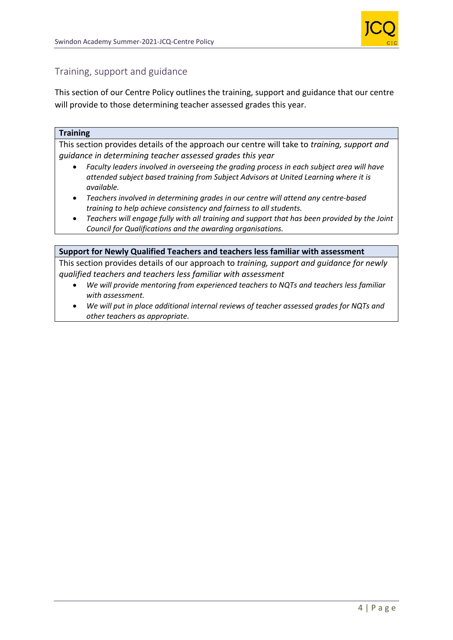

# Training, support and guidance

This section of our Centre Policy outlines the training, support and guidance that our centre will provide to those determining teacher assessed grades this year.

#### **Training**

This section provides details of the approach our centre will take to *training, support and guidance in determining teacher assessed grades this year*

- *Faculty leaders involved in overseeing the grading process in each subject area will have attended subject based training from Subject Advisors at United Learning where it is available.*
- *Teachers involved in determining grades in our centre will attend any centre-based training to help achieve consistency and fairness to all students.*
- *Teachers will engage fully with all training and support that has been provided by the Joint Council for Qualifications and the awarding organisations.*

#### **Support for Newly Qualified Teachers and teachers less familiar with assessment**

This section provides details of our approach to *training, support and guidance for newly qualified teachers and teachers less familiar with assessment*

- *We will provide mentoring from experienced teachers to NQTs and teachers less familiar with assessment.*
- *We will put in place additional internal reviews of teacher assessed grades for NQTs and other teachers as appropriate.*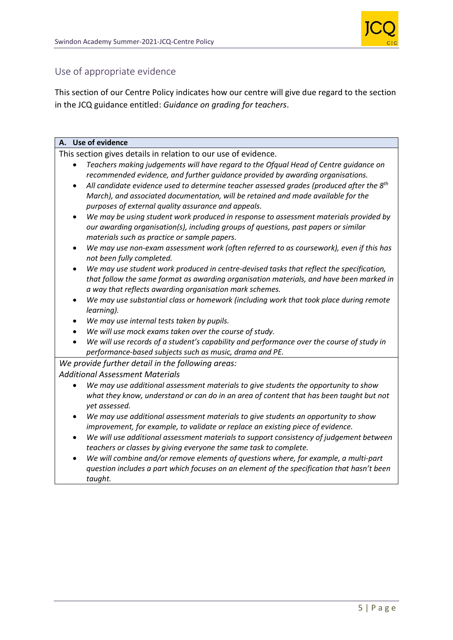

# Use of appropriate evidence

This section of our Centre Policy indicates how our centre will give due regard to the section in the JCQ guidance entitled: *Guidance on grading for teachers*.

#### **A. Use of evidence**

This section gives details in relation to our use of evidence.

- *Teachers making judgements will have regard to the Ofqual Head of Centre guidance on recommended evidence, and further guidance provided by awarding organisations.*
- *All candidate evidence used to determine teacher assessed grades (produced after the 8th March), and associated documentation, will be retained and made available for the purposes of external quality assurance and appeals.*
- *We may be using student work produced in response to assessment materials provided by our awarding organisation(s), including groups of questions, past papers or similar materials such as practice or sample papers.*
- *We may use non-exam assessment work (often referred to as coursework), even if this has not been fully completed.*
- *We may use student work produced in centre-devised tasks that reflect the specification, that follow the same format as awarding organisation materials, and have been marked in a way that reflects awarding organisation mark schemes.*
- *We may use substantial class or homework (including work that took place during remote learning).*
- *We may use internal tests taken by pupils.*
- *We will use mock exams taken over the course of study.*
- *We will use records of a student's capability and performance over the course of study in performance-based subjects such as music, drama and PE.*

# *We provide further detail in the following areas:*

*Additional Assessment Materials*

- *We may use additional assessment materials to give students the opportunity to show what they know, understand or can do in an area of content that has been taught but not yet assessed.*
- *We may use additional assessment materials to give students an opportunity to show improvement, for example, to validate or replace an existing piece of evidence.*
- *We will use additional assessment materials to support consistency of judgement between teachers or classes by giving everyone the same task to complete.*
- *We will combine and/or remove elements of questions where, for example, a multi-part question includes a part which focuses on an element of the specification that hasn't been taught.*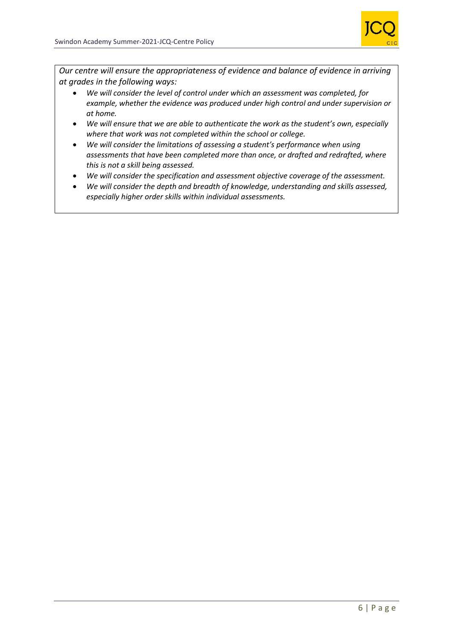

*Our centre will ensure the appropriateness of evidence and balance of evidence in arriving at grades in the following ways:*

- *We will consider the level of control under which an assessment was completed, for example, whether the evidence was produced under high control and under supervision or at home.*
- *We will ensure that we are able to authenticate the work as the student's own, especially where that work was not completed within the school or college.*
- *We will consider the limitations of assessing a student's performance when using assessments that have been completed more than once, or drafted and redrafted, where this is not a skill being assessed.*
- *We will consider the specification and assessment objective coverage of the assessment.*
- *We will consider the depth and breadth of knowledge, understanding and skills assessed, especially higher order skills within individual assessments.*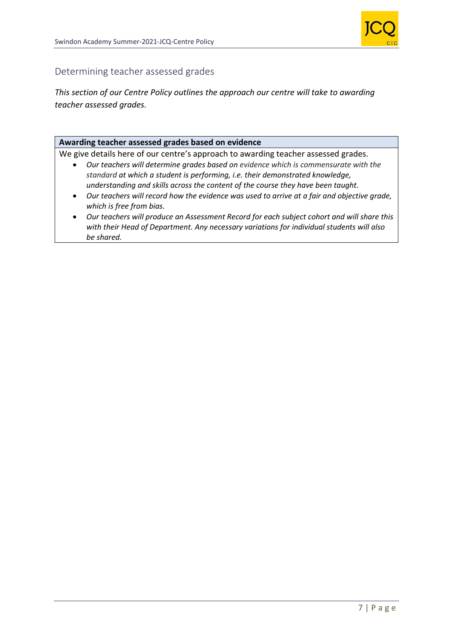

# Determining teacher assessed grades

# *This section of our Centre Policy outlines the approach our centre will take to awarding teacher assessed grades.*

#### **Awarding teacher assessed grades based on evidence**

We give details here of our centre's approach to awarding teacher assessed grades*.*

- *Our teachers will determine grades based on evidence which is commensurate with the standard at which a student is performing, i.e. their demonstrated knowledge, understanding and skills across the content of the course they have been taught.*
- *Our teachers will record how the evidence was used to arrive at a fair and objective grade, which is free from bias.*
- *Our teachers will produce an Assessment Record for each subject cohort and will share this with their Head of Department. Any necessary variations for individual students will also be shared.*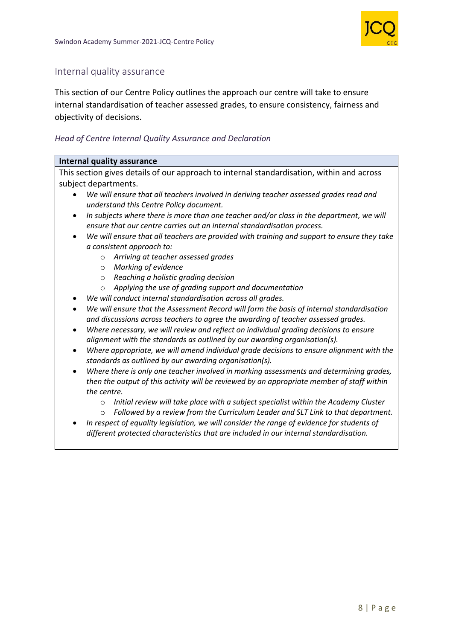

# Internal quality assurance

This section of our Centre Policy outlines the approach our centre will take to ensure internal standardisation of teacher assessed grades, to ensure consistency, fairness and objectivity of decisions.

#### *Head of Centre Internal Quality Assurance and Declaration*

#### **Internal quality assurance**

This section gives details of our approach to internal standardisation, within and across subject departments.

- *We will ensure that all teachers involved in deriving teacher assessed grades read and understand this Centre Policy document.*
- *In subjects where there is more than one teacher and/or class in the department, we will ensure that our centre carries out an internal standardisation process.*
- *We will ensure that all teachers are provided with training and support to ensure they take a consistent approach to:*
	- o *Arriving at teacher assessed grades*
	- o *Marking of evidence*
	- o *Reaching a holistic grading decision*
	- o *Applying the use of grading support and documentation*
- *We will conduct internal standardisation across all grades.*
- *We will ensure that the Assessment Record will form the basis of internal standardisation and discussions across teachers to agree the awarding of teacher assessed grades.*
- *Where necessary, we will review and reflect on individual grading decisions to ensure alignment with the standards as outlined by our awarding organisation(s).*
- *Where appropriate, we will amend individual grade decisions to ensure alignment with the standards as outlined by our awarding organisation(s).*
- *Where there is only one teacher involved in marking assessments and determining grades, then the output of this activity will be reviewed by an appropriate member of staff within the centre.*
	- o *Initial review will take place with a subject specialist within the Academy Cluster*
	- o *Followed by a review from the Curriculum Leader and SLT Link to that department.*
- *In respect of equality legislation, we will consider the range of evidence for students of different protected characteristics that are included in our internal standardisation.*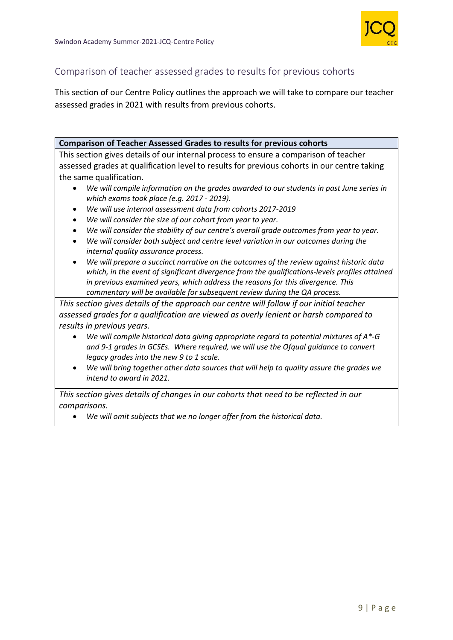

# Comparison of teacher assessed grades to results for previous cohorts

This section of our Centre Policy outlines the approach we will take to compare our teacher assessed grades in 2021 with results from previous cohorts.

#### **Comparison of Teacher Assessed Grades to results for previous cohorts**

This section gives details of our internal process to ensure a comparison of teacher assessed grades at qualification level to results for previous cohorts in our centre taking the same qualification.

- *We will compile information on the grades awarded to our students in past June series in which exams took place (e.g. 2017 - 2019).*
- *We will use internal assessment data from cohorts 2017-2019*
- *We will consider the size of our cohort from year to year.*
- *We will consider the stability of our centre's overall grade outcomes from year to year.*
- *We will consider both subject and centre level variation in our outcomes during the internal quality assurance process.*
- *We will prepare a succinct narrative on the outcomes of the review against historic data which, in the event of significant divergence from the qualifications-levels profiles attained in previous examined years, which address the reasons for this divergence. This commentary will be available for subsequent review during the QA process.*

*This section gives details of the approach our centre will follow if our initial teacher assessed grades for a qualification are viewed as overly lenient or harsh compared to results in previous years.*

- *We will compile historical data giving appropriate regard to potential mixtures of A\*-G and 9-1 grades in GCSEs. Where required, we will use the Ofqual guidance to convert legacy grades into the new 9 to 1 scale.*
- *We will bring together other data sources that will help to quality assure the grades we intend to award in 2021.*

*This section gives details of changes in our cohorts that need to be reflected in our comparisons.* 

• *We will omit subjects that we no longer offer from the historical data.*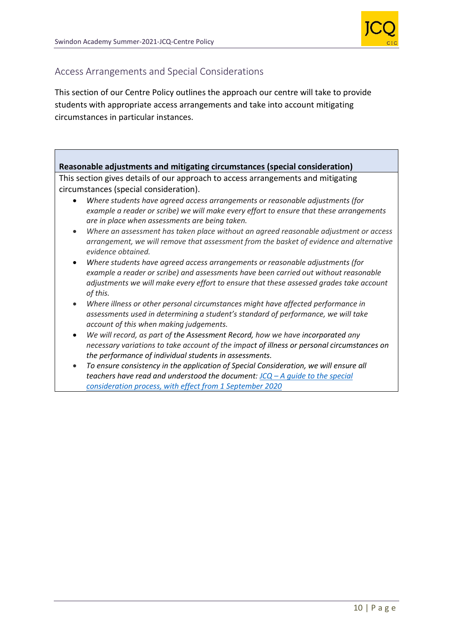

# Access Arrangements and Special Considerations

This section of our Centre Policy outlines the approach our centre will take to provide students with appropriate access arrangements and take into account mitigating circumstances in particular instances.

# **Reasonable adjustments and mitigating circumstances (special consideration)**

This section gives details of our approach to access arrangements and mitigating circumstances (special consideration).

- *Where students have agreed access arrangements or reasonable adjustments (for example a reader or scribe) we will make every effort to ensure that these arrangements are in place when assessments are being taken.*
- *Where an assessment has taken place without an agreed reasonable adjustment or access arrangement, we will remove that assessment from the basket of evidence and alternative evidence obtained.*
- *Where students have agreed access arrangements or reasonable adjustments (for example a reader or scribe) and assessments have been carried out without reasonable adjustments we will make every effort to ensure that these assessed grades take account of this.*
- *Where illness or other personal circumstances might have affected performance in assessments used in determining a student's standard of performance, we will take account of this when making judgements.*
- *We will record, as part of the Assessment Record, how we have incorporated any necessary variations to take account of the impact of illness or personal circumstances on the performance of individual students in assessments.*
- *To ensure consistency in the application of Special Consideration, we will ensure all teachers have read and understood the document: JCQ – [A guide to the special](https://www.jcq.org.uk/wp-content/uploads/2020/08/A-guide-to-the-spec-con-process-202021-Website-version.pdf)  [consideration process, with effect from 1 September 2020](https://www.jcq.org.uk/wp-content/uploads/2020/08/A-guide-to-the-spec-con-process-202021-Website-version.pdf)*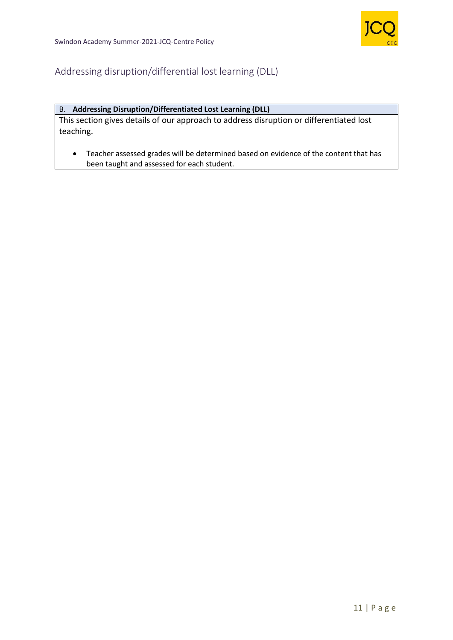

# Addressing disruption/differential lost learning (DLL)

# B. **Addressing Disruption/Differentiated Lost Learning (DLL)**

This section gives details of our approach to address disruption or differentiated lost teaching.

• Teacher assessed grades will be determined based on evidence of the content that has been taught and assessed for each student.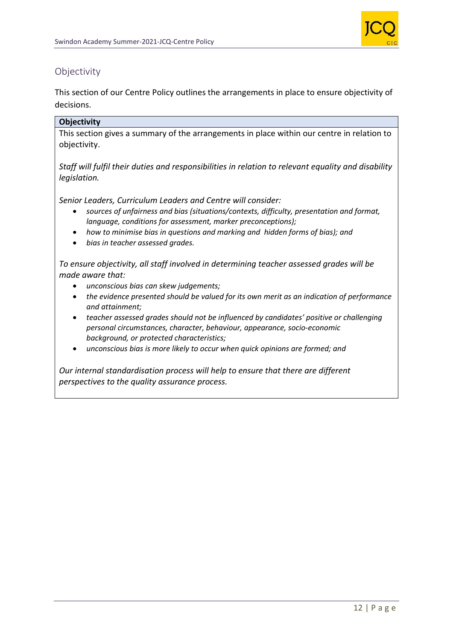

# **Objectivity**

This section of our Centre Policy outlines the arrangements in place to ensure objectivity of decisions.

# **Objectivity**

This section gives a summary of the arrangements in place within our centre in relation to objectivity.

*Staff will fulfil their duties and responsibilities in relation to relevant equality and disability legislation.*

*Senior Leaders, Curriculum Leaders and Centre will consider:*

- *sources of unfairness and bias (situations/contexts, difficulty, presentation and format, language, conditions for assessment, marker preconceptions);*
- *how to minimise bias in questions and marking and hidden forms of bias); and*
- *bias in teacher assessed grades.*

*To ensure objectivity, all staff involved in determining teacher assessed grades will be made aware that:*

- *unconscious bias can skew judgements;*
- *the evidence presented should be valued for its own merit as an indication of performance and attainment;*
- *teacher assessed grades should not be influenced by candidates' positive or challenging personal circumstances, character, behaviour, appearance, socio-economic background, or protected characteristics;*
- *unconscious bias is more likely to occur when quick opinions are formed; and*

*Our internal standardisation process will help to ensure that there are different perspectives to the quality assurance process.*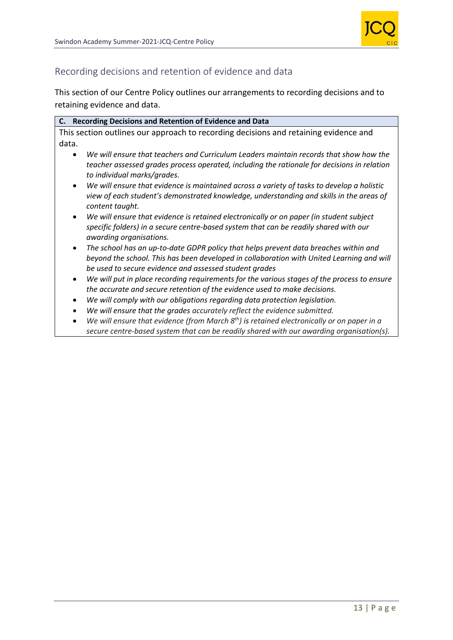

# Recording decisions and retention of evidence and data

This section of our Centre Policy outlines our arrangements to recording decisions and to retaining evidence and data.

| C. Recording Decisions and Retention of Evidence and Data                                                                                                                                                                                                |
|----------------------------------------------------------------------------------------------------------------------------------------------------------------------------------------------------------------------------------------------------------|
| This section outlines our approach to recording decisions and retaining evidence and                                                                                                                                                                     |
| data.                                                                                                                                                                                                                                                    |
| We will ensure that teachers and Curriculum Leaders maintain records that show how the<br>$\bullet$<br>teacher assessed grades process operated, including the rationale for decisions in relation<br>to individual marks/grades.                        |
| We will ensure that evidence is maintained across a variety of tasks to develop a holistic<br>$\bullet$<br>view of each student's demonstrated knowledge, understanding and skills in the areas of<br>content taught.                                    |
| We will ensure that evidence is retained electronically or on paper (in student subject<br>$\bullet$<br>specific folders) in a secure centre-based system that can be readily shared with our<br>awarding organisations.                                 |
| The school has an up-to-date GDPR policy that helps prevent data breaches within and<br>$\bullet$<br>beyond the school. This has been developed in collaboration with United Learning and will<br>be used to secure evidence and assessed student grades |
| We will put in place recording requirements for the various stages of the process to ensure<br>$\bullet$<br>the accurate and secure retention of the evidence used to make decisions.                                                                    |

- *We will comply with our obligations regarding data protection legislation.*
- *We will ensure that the grades accurately reflect the evidence submitted.*
- *We will ensure that evidence (from March 8th) is retained electronically or on paper in a secure centre-based system that can be readily shared with our awarding organisation(s).*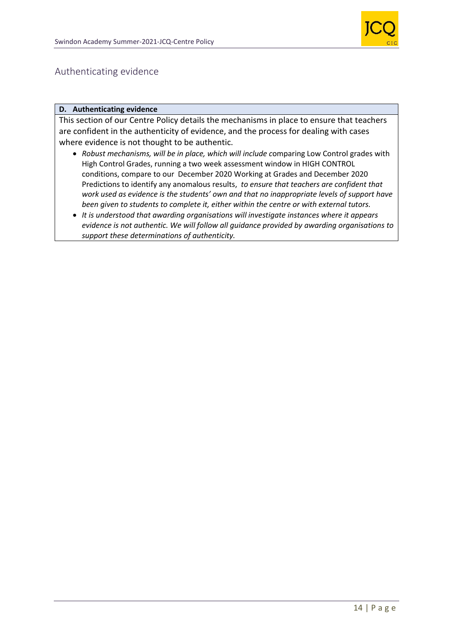

# Authenticating evidence

#### **D. Authenticating evidence**

This section of our Centre Policy details the mechanisms in place to ensure that teachers are confident in the authenticity of evidence, and the process for dealing with cases where evidence is not thought to be authentic.

- *Robust mechanisms, will be in place, which will include c*omparing Low Control grades with High Control Grades, running a two week assessment window in HIGH CONTROL conditions, compare to our December 2020 Working at Grades and December 2020 Predictions to identify any anomalous results, *to ensure that teachers are confident that work used as evidence is the students' own and that no inappropriate levels of support have been given to students to complete it, either within the centre or with external tutors.*
- *It is understood that awarding organisations will investigate instances where it appears evidence is not authentic. We will follow all guidance provided by awarding organisations to support these determinations of authenticity.*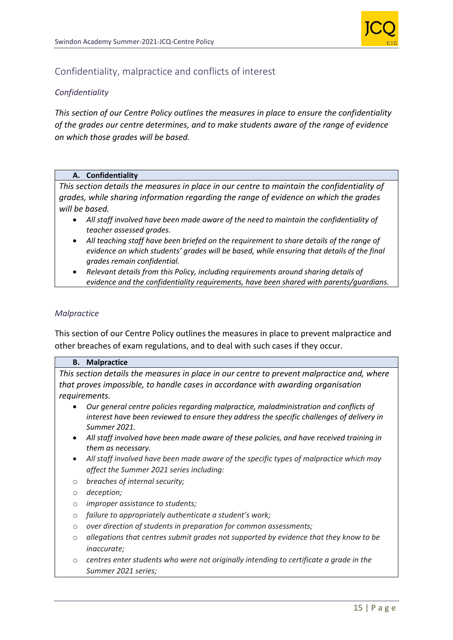

# Confidentiality, malpractice and conflicts of interest

#### *Confidentiality*

*This section of our Centre Policy outlines the measures in place to ensure the confidentiality of the grades our centre determines, and to make students aware of the range of evidence on which those grades will be based.*

#### **A. Confidentiality**

*This section details the measures in place in our centre to maintain the confidentiality of grades, while sharing information regarding the range of evidence on which the grades will be based.* 

- *All staff involved have been made aware of the need to maintain the confidentiality of teacher assessed grades.*
- *All teaching staff have been briefed on the requirement to share details of the range of evidence on which students' grades will be based, while ensuring that details of the final grades remain confidential.*
- *Relevant details from this Policy, including requirements around sharing details of evidence and the confidentiality requirements, have been shared with parents/guardians.*

#### *Malpractice*

This section of our Centre Policy outlines the measures in place to prevent malpractice and other breaches of exam regulations, and to deal with such cases if they occur.

#### **B. Malpractice**

*This section details the measures in place in our centre to prevent malpractice and, where that proves impossible, to handle cases in accordance with awarding organisation requirements.*

- *Our general centre policies regarding malpractice, maladministration and conflicts of interest have been reviewed to ensure they address the specific challenges of delivery in Summer 2021.*
- *All staff involved have been made aware of these policies, and have received training in them as necessary.*
- *All staff involved have been made aware of the specific types of malpractice which may affect the Summer 2021 series including:*
- o *breaches of internal security;*
- o *deception;*
- o *improper assistance to students;*
- o *failure to appropriately authenticate a student's work;*
- o *over direction of students in preparation for common assessments;*
- o *allegations that centres submit grades not supported by evidence that they know to be inaccurate;*
- o *centres enter students who were not originally intending to certificate a grade in the Summer 2021 series;*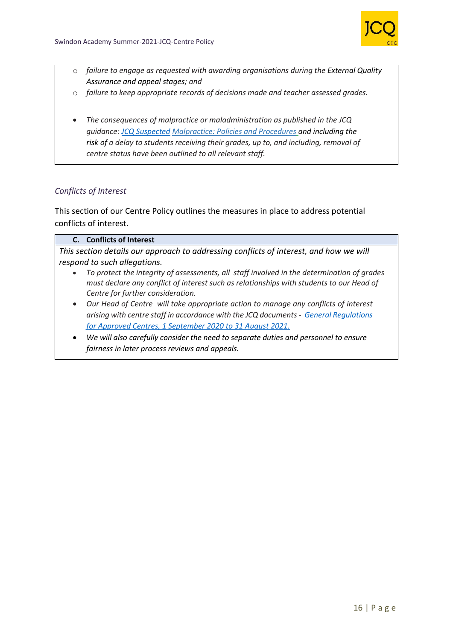

- o *failure to engage as requested with awarding organisations during the External Quality Assurance and appeal stages; and*
- o *failure to keep appropriate records of decisions made and teacher assessed grades.*
- *The consequences of malpractice or maladministration as published in the JCQ guidance: [JCQ Suspected](https://www.jcq.org.uk/exams-office/malpractice/jcq-suspected-malpractice-policies-and-procedures-2019-2020) Malpractice: Policies and Procedures and including the risk of a delay to students receiving their grades, up to, and including, removal of centre status have been outlined to all relevant staff.*

# *Conflicts of Interest*

This section of our Centre Policy outlines the measures in place to address potential conflicts of interest.

#### **C. Conflicts of Interest**

*This section details our approach to addressing conflicts of interest, and how we will respond to such allegations.*

- *To protect the integrity of assessments, all staff involved in the determination of grades must declare any conflict of interest such as relationships with students to our Head of Centre for further consideration.*
- *Our Head of Centre will take appropriate action to manage any conflicts of interest arising with centre staff in accordance with the JCQ documents - [General Regulations](https://www.jcq.org.uk/wp-content/uploads/2020/09/Gen_regs_approved_centres_20-21_FINAL.pdf)  [for Approved Centres, 1 September 2020 to 31 August 2021.](https://www.jcq.org.uk/wp-content/uploads/2020/09/Gen_regs_approved_centres_20-21_FINAL.pdf)*
- *We will also carefully consider the need to separate duties and personnel to ensure fairness in later process reviews and appeals.*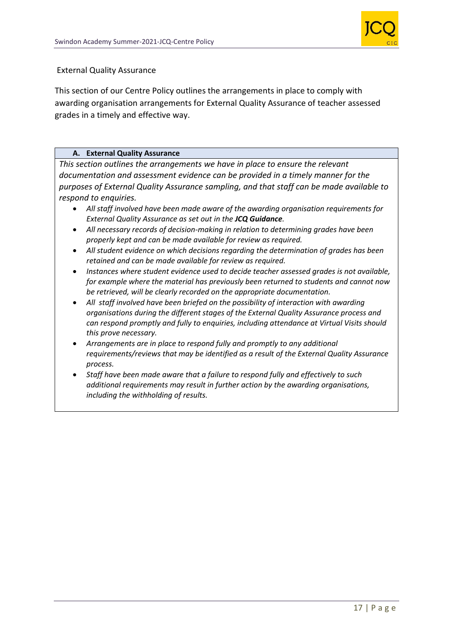

#### External Quality Assurance

This section of our Centre Policy outlines the arrangements in place to comply with awarding organisation arrangements for External Quality Assurance of teacher assessed grades in a timely and effective way.

#### **A. External Quality Assurance**

*This section outlines the arrangements we have in place to ensure the relevant documentation and assessment evidence can be provided in a timely manner for the purposes of External Quality Assurance sampling, and that staff can be made available to respond to enquiries.*

- *All staff involved have been made aware of the awarding organisation requirements for External Quality Assurance as set out in the JCQ Guidance.*
- *All necessary records of decision-making in relation to determining grades have been properly kept and can be made available for review as required.*
- *All student evidence on which decisions regarding the determination of grades has been retained and can be made available for review as required.*
- *Instances where student evidence used to decide teacher assessed grades is not available, for example where the material has previously been returned to students and cannot now be retrieved, will be clearly recorded on the appropriate documentation.*
- *All staff involved have been briefed on the possibility of interaction with awarding organisations during the different stages of the External Quality Assurance process and can respond promptly and fully to enquiries, including attendance at Virtual Visits should this prove necessary.*
- *Arrangements are in place to respond fully and promptly to any additional requirements/reviews that may be identified as a result of the External Quality Assurance process.*
- *Staff have been made aware that a failure to respond fully and effectively to such additional requirements may result in further action by the awarding organisations, including the withholding of results.*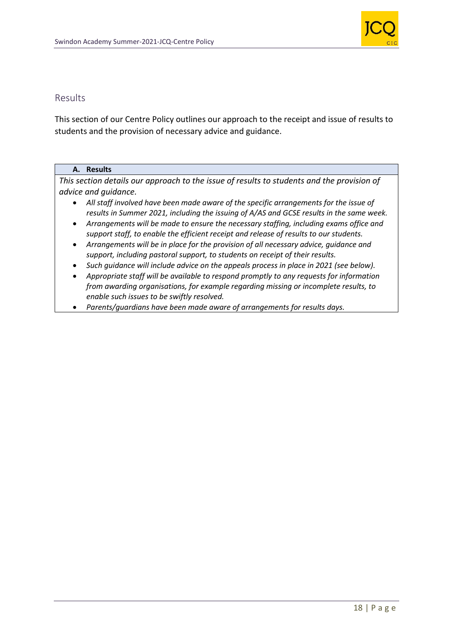

# Results

This section of our Centre Policy outlines our approach to the receipt and issue of results to students and the provision of necessary advice and guidance.

#### **A. Results**

*This section details our approach to the issue of results to students and the provision of advice and guidance.*

- *All staff involved have been made aware of the specific arrangements for the issue of results in Summer 2021, including the issuing of A/AS and GCSE results in the same week.*
- *Arrangements will be made to ensure the necessary staffing, including exams office and support staff, to enable the efficient receipt and release of results to our students.*
- *Arrangements will be in place for the provision of all necessary advice, guidance and support, including pastoral support, to students on receipt of their results.*
- *Such guidance will include advice on the appeals process in place in 2021 (see below).*
- *Appropriate staff will be available to respond promptly to any requests for information from awarding organisations, for example regarding missing or incomplete results, to enable such issues to be swiftly resolved.*
- *Parents/guardians have been made aware of arrangements for results days.*